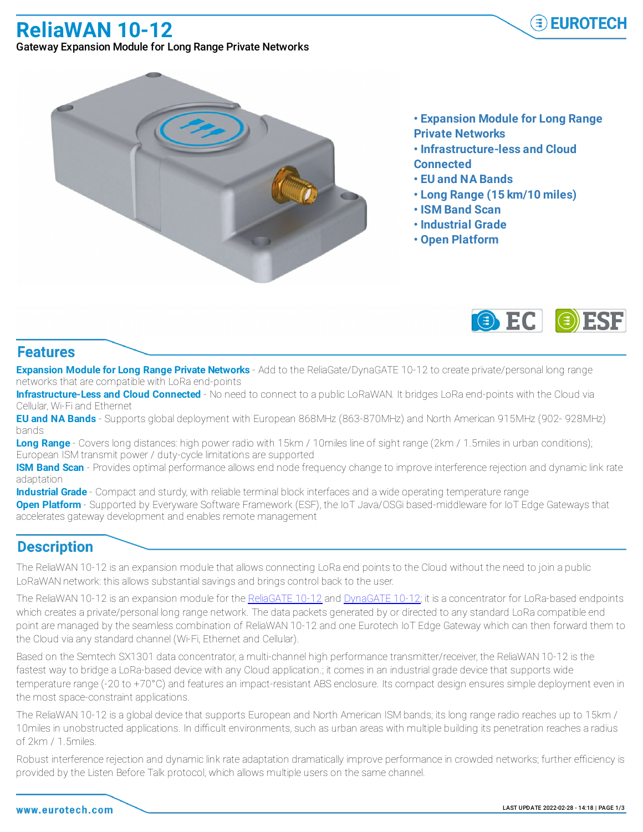**ReliaWAN 10-12**



Gateway Expansion Module for Long Range Private Networks



- **• Expansion Module for Long Range Private Networks**
- **• Infrastructure-less and Cloud Connected**
- **• EU and NA Bands**
- **• Long Range (15 km/10 miles)**
- **• ISM Band Scan**
- **• Industrial Grade**
- **• Open Platform**



## **Features**

**Expansion Module for Long Range Private Networks** - Add to the ReliaGate/DynaGATE 10-12 to create private/personal long range networks that are compatible with LoRa end-points

**Infrastructure-Less and Cloud Connected** - No need to connect to a public LoRaWAN. It bridges LoRa end-points with the Cloud via Cellular, Wi-Fi and Ethernet

**EU and NA Bands** - Supports global deployment with European 868MHz (863-870MHz) and North American 915MHz (902- 928MHz) bands

**Long Range** - Covers long distances: high power radio with 15km / 10miles line of sight range (2km / 1.5miles in urban conditions); European ISM transmit power / duty-cycle limitations are supported

**ISM Band Scan** - Provides optimal performance allows end node frequency change to improve interference rejection and dynamic link rate adaptation

**Industrial Grade** - Compact and sturdy, with reliable terminal block interfaces and a wide operating temperature range

**Open Platform** - Supported by Everyware Software Framework (ESF), the IoT Java/OSGi based-middleware for IoT Edge Gateways that accelerates gateway development and enables remote management

## **Description**

The ReliaWAN 10-12 is an expansion module that allows connecting LoRa end points to the Cloud without the need to join a public LoRaWAN network: this allows substantial savings and brings control back to the user.

The ReliaWAN 10-12 is an expansion module for the ReliaGATE 10-12 and DynaGATE 10-12; it is a concentrator for LoRa-based endpoints which creates a private/personal long range network. The data packets generated by or directed to any standard LoRa compatible end point are managed by the seamless combination of ReliaWAN 10-12 and one Eurotech IoT Edge Gateway which can then forward them to the Cloud via any standard channel (Wi-Fi, Ethernet and Cellular).

Based on the Semtech SX1301 data concentrator, a multi-channel high performance transmitter/receiver, the ReliaWAN 10-12 is the fastest way to bridge a LoRa-based device with any Cloud application.; it comes in an industrial grade device that supports wide temperature range (-20 to +70°C) and features an impact-resistant ABS enclosure. Its compact design ensures simple deployment even in the most space-constraint applications.

The ReliaWAN 10-12 is a global device that supports European and North American ISM bands; its long range radio reaches up to 15km / 10miles in unobstructed applications. In difficult environments, such as urban areas with multiple building its penetration reaches a radius of 2km / 1.5miles.

Robust interference rejection and dynamic link rate adaptation dramatically improve performance in crowded networks; further efficiency is provided by the Listen Before Talk protocol, which allows multiple users on the same channel.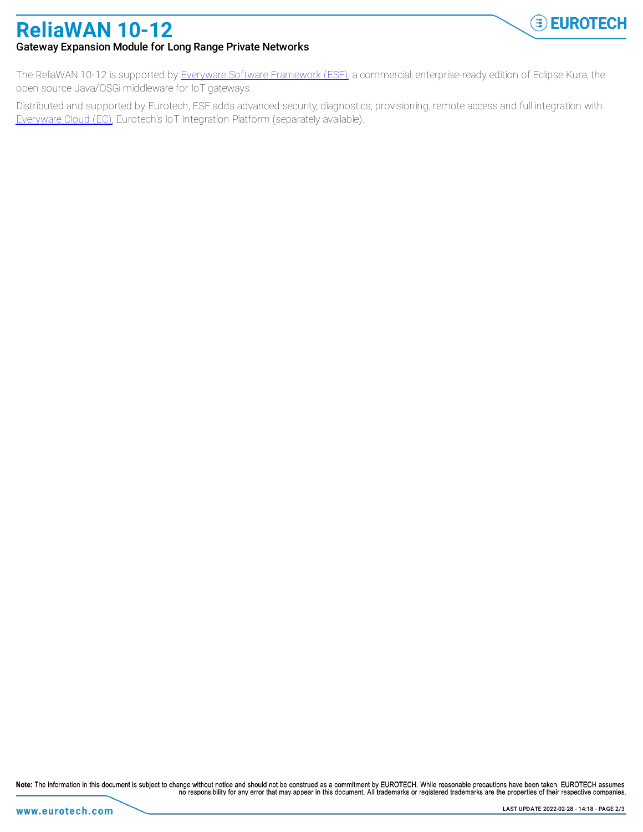

## **ReliaWAN 10-12** Gateway Expansion Module for Long Range Private Networks

The ReliaWAN 10-12 is supported by Everyware Software Framework (ESF), a commercial, enterprise-ready edition of Eclipse Kura, the open source Java/OSGi middleware for IoT gateways.

Distributed and supported by Eurotech, ESF adds advanced security, diagnostics, provisioning, remote access and full integration with Everyware Cloud (EC), Eurotech's IoT Integration Platform (separately available).

Note: The information in this document is subject to change without notice and should not be construed as a commitment by EUROTECH. While reasonable precautions have been taken, EUROTECH assumes no responsibility for any error that may appear in this document. All trademarks or registered trademarks are the properties of their respective companies.